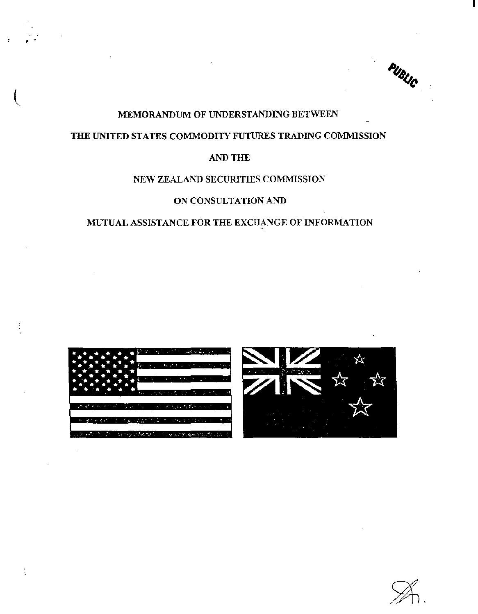PUBLIC

# MEMORANDUM OF UNDERSTANDING BETWEEN

# THE UNITED STATES COMMODITY FUTURES TRADING COMMISSION

# AND THE

### NEW ZEALAND SECURITIES COMMISSION

#### ON CONSULTATION AND

# MUTUAL ASSISTANCE FOR THE EXCHANGE OF INFORMATION



. .



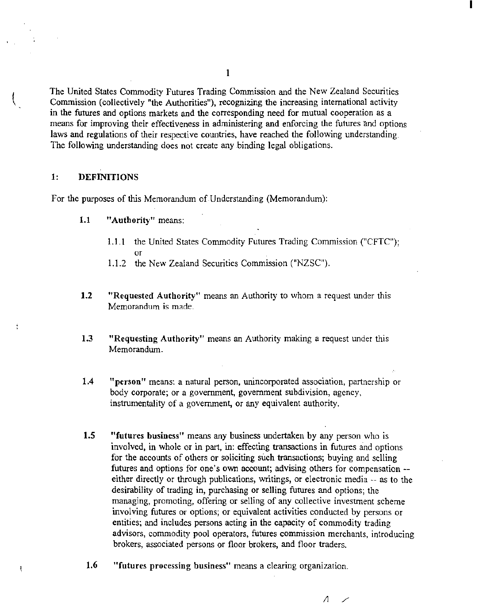The United States Commodity Futures Trading Commission and the New Zealand Securities Commission (collectively "the Authorities"). recognizing the increasing international activity in the futures and options markets and the corresponding need for mutual cooperation as a means for improving their effectiveness in administering and enforcing the futures and options laws and regulations of their respective countries, have reached the following understanding. The following understanding does not create any binding legal obligations.

### 1: DEFINITIONS

ŧ

For the purposes of this Memorandum of Understanding (Memorandum):

- 1.1 "Authority" means:
	- 1.1.1 the United States Commodity Futures Trading Commission ("CFTC"); or
	- 1.1.2 the New Zealand Securities Commission ("NZSC").
- 1.2 "Requested Authority" means an Authority to whom a request under this Memorandum is made.
- 1.3 "Requesting Authority" means an Authority making a request under this Memorandum.
- 1.4 "person" means: a natural person, unincorporated association, partnership or body corporate; or a government, government subdivision, agency, instrumentality of a government, or any equivalent authority.
- 1.5 "futures business" means any business undertaken by any person who is involved, in whole or in part, in: effecting transactions in futures and options for the accounts of others or soliciting such transactions; buying and selling futures and options for one's own account; advising others for compensation- either directly or through publications, writings, or electronic media -- as to the desirability of trading in, purchasing or selling futures and options; the managing, promoting, offering or selling of any collective investment scheme involving futures or options; or equivalent activities conducted by persons or entities; and includes persons acting in the capacity of commodity trading advisors, commodity pool operators, futures commission merchants, introducing brokers, associated persons or floor brokers, and floor traders.
- 1.6 "futures processing business" means a clearing organization.

I

I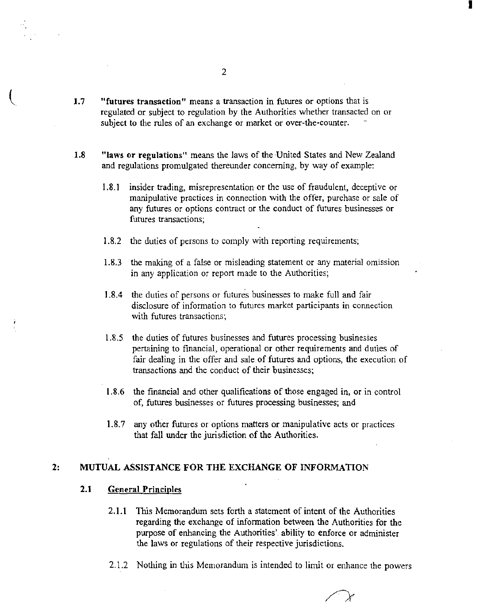- 1.7 "futures transaction" means a transaction in futures or options that is regulated or subject to regulation by the Authorities whether transacted on or subject to the rules of an exchange or market or over-the-counter.
- 1.8 "laws or regulations" means the laws of the-United States and New Zealand and regulations promulgated thereunder concerning, by way of example:
	- 1.8.1 insider trading, misrepresentation or the use of fraudulent, deceptive or manipulative practices in connection with the offer, purchase or sale of any futures or options contract or the conduct of futures businesses or futures transactions;
	- 1.8.2 the duties of persons to comply with reporting requirements;
	- 1.8.3 the making of a false or misleading statement or any material omission in any application or report made to the Authorities;
	- 1.8.4 the duties of persons or futures businesses to make full and fair disclosure of information to futures market participants in connection with futures transactions;
	- 1.8.5 the duties of futures businesses and futures processing businesses pertaining to financial, operational or other requirements and duties of fair dealing in the offer and sale of futures and options, the execution of transactions and the conduct of their businesses;
	- 1.8.6 the financial and other qualifications of those engaged in, or in control of, futures businesses or futures processing businesses; and
	- 1.8.7 any other futures or options matters or manipulative acts or practices that fall under the jurisdiction of the Authorities.

## 2: MUTUAL ASSISTANCE FOR THE EXCHANGE OF INFORMATION

## 2.1 General Principles

- 2.1.1 This Memorandum sets forth a statement of intent of the Authorities regarding the exchange of information between the Authorities for the purpose of enhancing the Authorities' ability to enforce or administer the laws or regulations of their respective jurisdictions.
- 2.1.2 Nothing in this Memorandwn is intended to limit or enhance the powers

I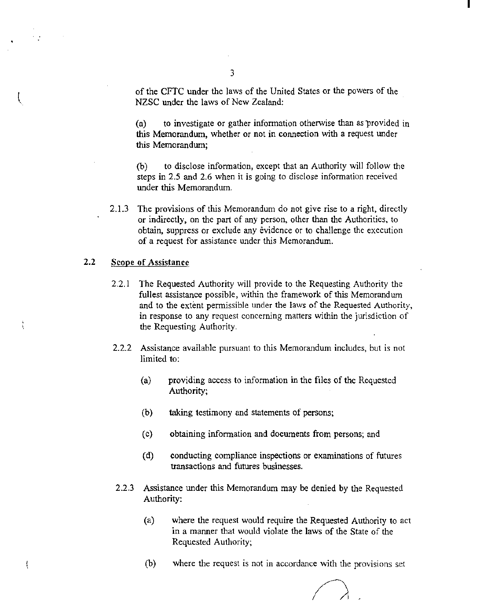of the CFTC under the laws of the United States or the powers of the NZSC under the laws of New Zealand:

I

(a) to investigate or gather information otherwise than as provided in this Memorandum, whether or not in connection with a request under this Memorandum;

(b) to disclose information, except that an Authority will follow the steps in 2.5 and 2.6 when it is going to disclose information received under this Memorandum.

2.1.3 The provisions of this Memorandum do not give rise to a right, directly or indirectly, on the part of any person, other than the Authorities, to obtain, suppress or exclude any evidence or to challenge the execution of a request for assistance under this Memorandum.

## 2.2 Scope of Assistance

 $\binom{1}{2}$ 

Å

4

- 2.2.1 The Requested Authority will provide to the Requesting Authority the fullest assistance possible, within the framework of this Memorandum and to the extent permissible under the laws of the Requested Authority, in response to any request concerning matters within the jurisdiction of the Requesting Authority.
- 2.2.2 Assistance available pursuant to this Memorandum includes, but is not limited to:
	- (a) providing access to information in the files of the Requested Authority;
	- (b) taking testimony and statements of persons;
	- (c) obtaining information and documents from persons; and
	- (d) conducting compliance inspections or examinations of futures transactions and futures businesses.
- 2.2 .3 Assistance under this Memorandum may be denied by the Requested Authority:
	- (a) where the request would require the Requested Authority to act in a manner that would violate the laws of the State of the Requested Authority;
	- (b) where the request is not in accordance with the provisions set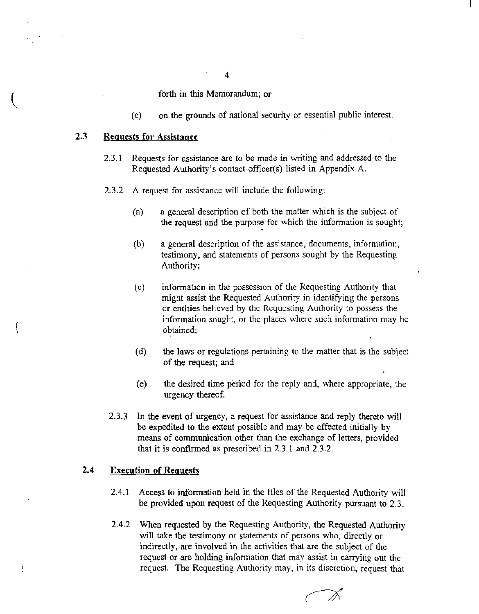forth in this Memorandum; or

 $(c)$  on the grounds of national security or essential public interest.

# 2.3 Requests for Assistance

- 2.3.1 Requests for assistance are to be made in writing and addressed to the Requested Authority's contact officer(s) listed in Appendix A.
- 2.3.2 A request for assistance will include the following:
	- (a) a general description of both the matter which is the subject of the request and the purpose for which the information is sought;
	- (b) a general description of the assistance, docwnents, information, testimony, and statements of persons sought by the Requesting Authority;
	- (c) information in the possession of the Requesting Authority that might assist the Requested Authority in identifying the persons or entities believed by the Requesting Authority to possess the information sought, or the places where such information may be obtained;
	- (d) the laws or regulations pertaining to the matter that is the subject of the request; and
	- (e) the desired time period for the reply and, where appropriate, the urgency thereof.
	- 2.3.3 In the event of urgency, a request for assistance and reply thereto will be expedited to the extent possible and may be effected initially by means of communication other than the exchange of letters, provided that it is confirmed as prescribed in 2.3.1 and 2.3.2.

# 2.4 Execution of Requests

j

- 2.4.1 Access to information held in the files of the Requested Authority will be provided upon request of the Requesting Authority pursuant to 2.3.
- 2.4.2 When requested by the Requesting Authority, the Requested Authority will take the testimony or statements of persons who, directly or indirectly, are involved in the activities that are the subject of the request or are holding information that may assist in carrying out the request. The Requesting Authority may, in its discretion, request that

4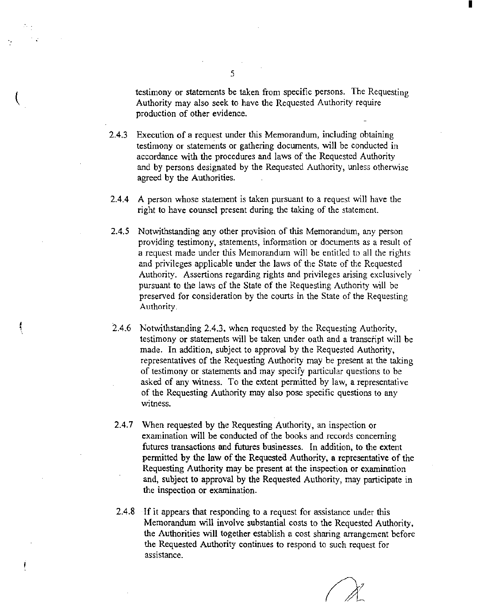testimony or statements be taken from specific persons. The Requesting Authority may also seek to have the Requested Authority require production of other evidence.

I

- 2.4.3 Execution of a request under this Memorandwn, including obtaining testimony or statements or gathering docwnents, will be conducted in accordance with the procedures and laws of the Requested Authority and by persons designated by the Requested Authority, unless otherwise agreed by the Authorities.
- 2.4.4 A person whose statement is taken pursuant to a request will have the right to have counsel present during the taking of the statement.
- 2.4.5 Notwithstanding any other provision of this Memorandum, any person providing testimony, statements, information or documents as a result of a request made under this Memorandwn will be entitled to all the rights and privileges applicable under the laws of the State of the Requested Authority. Assertions regarding rights and privileges arising exclusively pursuant to the laws of the State of the Requesting Authority will be preserved for consideration by the courts in the State of the Requesting Authority.
- 2.4.6 Notwithstanding 2.4.3, when requested by the Requesting Authority, testimony or statements will be taken under oath and a transcript will be made. In addition, subject to approval by the Requested Authority, representatives of the Requesting Authority may be present at the taking of testimony or statements and may specify particular questions to be asked of any witness. To the extent permitted by law, a representative of the Requesting Authority may also pose specific questions to any witness.

f

- 2.4.7 When requested by the Requesting Authority, an inspection or examination will be conducted of the books and records concerning futures transactions and futures businesses. In addition, to the extent permitted by the law of the Requested Authority, a representative of the Requesting Authority may be present at the inspection or examination and, subject to approval by the Requested Authority, may participate in the inspection or examination.
- 2.4.8 If it appears that responding to a request for assistance under this Memorandum will involve substantial costs to the Requested Authority, the Authorities will together establish a cost sharing arrangement before the Requested Authority continues to respond to such request for assistance.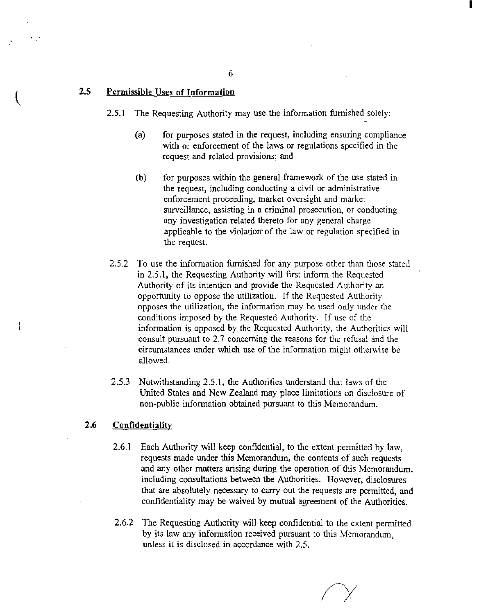### 2.5 Permissible Uses of Information

- 2.5.1 The Requesting Authority may use the information furnished solely:
	- (a) for purposes stated in the request, including ensuring compliance with or enforcement of the laws or regulations specified in the request and related provisions; and

I

- (b) for purposes within the general framework of the use stated in the request, including conducting a civil or administrative enforcement proceeding, market oversight and market surveillance, assisting in a criminal prosecution, or conducting any investigation related thereto for any general charge applicable to the violation of the law or regulation specified in the request.
- 2.5.2 To use the information furnished for any purpose other than those stated in 2.5.1, the Requesting Authority will first inform the Requested Authority of its intention and provide the Requested Authority an opportunity to oppose the utilization. If the Requested Authority opposes the utilization, the information may be used only under the conditions imposed by the Requested Authority. If usc of the information is opposed by the Requested Authority, the Authorities will consult pursuant to 2.7 concerning the reasons for the refusal and the circumstances under which use of the information might otherwise be allowed.
- 2.5.3 Notwithstanding 2.5.1, the Authorities understand that laws of the United States and New Zealand may place limitations on disclosure of non-public information obtained pursuant to this Memorandum.

# 2.6 Confidentiality

- 2.6.1 Each Authority will keep confidential, to the extent permitted by law, requests made under this Memorandum, the contents of such requests and any other matters arising during the operation of this Memorandum, including consultations between the Authorities. However, disclosures that are absolutely necessary to carry out the requests are permitted, and confidentiality may be waived by mutual agreement of the Authorities.
- 2.6.2 The Requesting Authority will keep confidential to the extent permitted by its law any information received pursuant to this Memorandum, unless it is disclosed in accordance with 2.5.

6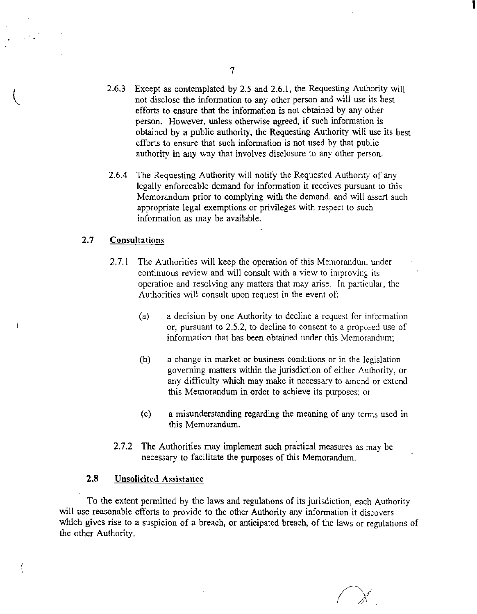- 2.6.3 Except as contemplated by 2.5 and 2.6.1, the Requesting Authority will not disclose the information to any other person and will use its best efforts to ensure that the information is not obtained by any other person. However, unless otherwise agreed, if such informatien is obtained by a public authority, the Requesting Authority will use its best efforts to ensure that such information is not used by that public authority in any way that involves disclosure to any other person.
- 2.6.4 The Requesting Authority will notify the Requested Authority of any legally enforceable demand for information it receives pursuant to this Memorandum prior to complying with the demand, and will assert such appropriate legal exemptions or privileges with respect to such information as may be available.

#### 2.7 **Consultations**

- 2.7.1 The Authorities will keep the operation of this Memorandum under continuous review and will consult with a view to improving its operation and resolving any matters that may arise. In particular, the Authorities will consult upon request in the event of:
	- (a) a decision by one Authority to decline a request for information or, pursuant to 2.5.2, to decline to consent to a proposed use of information that has been obtained under this Memorahdwn;
	- (b) a change in market or business conditions or in the legislation governing matters within the jurisdiction of either Authority, or any difficulty which may make it necessary *to* amend or extend this Memorandum in order to achieve its purposes; or
	- (c) a misunderstanding regarding the meaning of any terms used in this Memorandum.
- 2.7.2 The Authorities may implement such practical measures as may be necessary to facilitate the purposes of this Memorandum.

### **2.8 Unsolicited** Assistance

f

To the extent permitted by the laws and regulations of its jurisdiction, each Authority will use reasonable efforts to provide to the other Authority any information it discovers which gives rise to a suspicion of a breach, or anticipated breach, of the laws or regulations of the other Authority.

I

7